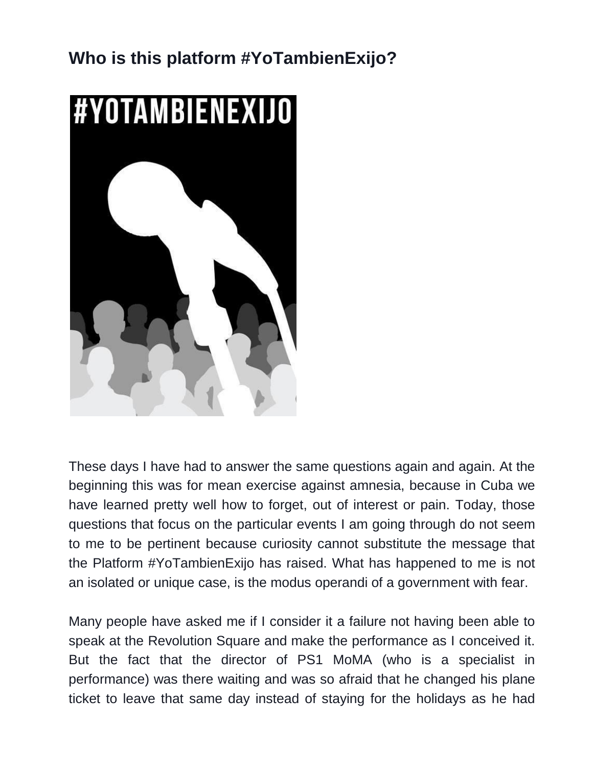## **Who is this platform #YoTambienExijo?**



These days I have had to answer the same questions again and again. At the beginning this was for mean exercise against amnesia, because in Cuba we have learned pretty well how to forget, out of interest or pain. Today, those questions that focus on the particular events I am going through do not seem to me to be pertinent because curiosity cannot substitute the message that the Platform #YoTambienExijo has raised. What has happened to me is not an isolated or unique case, is the modus operandi of a government with fear.

Many people have asked me if I consider it a failure not having been able to speak at the Revolution Square and make the performance as I conceived it. But the fact that the director of PS1 MoMA (who is a specialist in performance) was there waiting and was so afraid that he changed his plane ticket to leave that same day instead of staying for the holidays as he had